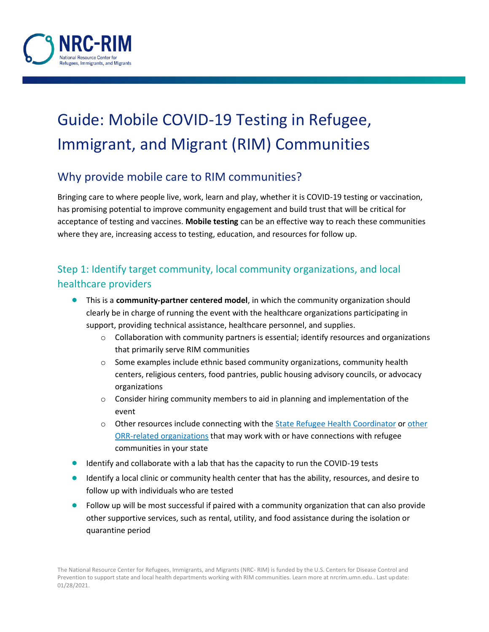

# Guide: Mobile COVID-19 Testing in Refugee, Immigrant, and Migrant (RIM) Communities

# Why provide mobile care to RIM communities?

Bringing care to where people live, work, learn and play, whether it is COVID-19 testing or vaccination, has promising potential to improve community engagement and build trust that will be critical for acceptance of testing and vaccines. **Mobile testing** can be an effective way to reach these communities where they are, increasing access to testing, education, and resources for follow up.

# Step 1: Identify target community, local community organizations, and local healthcare providers

- This is a **community-partner centered model**, in which the community organization should clearly be in charge of running the event with the healthcare organizations participating in support, providing technical assistance, healthcare personnel, and supplies.
	- $\circ$  Collaboration with community partners is essential; identify resources and organizations that primarily serve RIM communities
	- $\circ$  Some examples include ethnic based community organizations, community health centers, religious centers, food pantries, public housing advisory councils, or advocacy organizations
	- $\circ$  Consider hiring community members to aid in planning and implementation of the event
	- o Other resources include connecting with the **State Refugee Health Coordinator or other** [ORR-related organizations](https://www.acf.hhs.gov/orr/map/find-resources-and-contacts-your-state) that may work with or have connections with refugee communities in your state
- Identify and collaborate with a lab that has the capacity to run the COVID-19 tests
- Identify a local clinic or community health center that has the ability, resources, and desire to follow up with individuals who are tested
- Follow up will be most successful if paired with a community organization that can also provide other supportive services, such as rental, utility, and food assistance during the isolation or quarantine period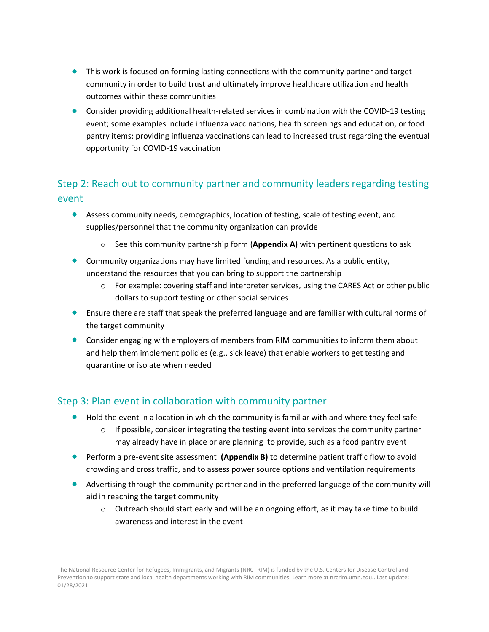- This work is focused on forming lasting connections with the community partner and target community in order to build trust and ultimately improve healthcare utilization and health outcomes within these communities
- Consider providing additional health-related services in combination with the COVID-19 testing event; some examples include influenza vaccinations, health screenings and education, or food pantry items; providing influenza vaccinations can lead to increased trust regarding the eventual opportunity for COVID-19 vaccination

# Step 2: Reach out to community partner and community leaders regarding testing event

- Assess community needs, demographics, location of testing, scale of testing event, and supplies/personnel that the community organization can provide
	- o See this community partnership form (**Appendix A)** with pertinent questions to ask
- Community organizations may have limited funding and resources. As a public entity, understand the resources that you can bring to support the partnership
	- o For example: covering staff and interpreter services, using the CARES Act or other public dollars to support testing or other social services
- Ensure there are staff that speak the preferred language and are familiar with cultural norms of the target community
- Consider engaging with employers of members from RIM communities to inform them about and help them implement policies (e.g., sick leave) that enable workers to get testing and quarantine or isolate when needed

## Step 3: Plan event in collaboration with community partner

- Hold the event in a location in which the community is familiar with and where they feel safe
	- $\circ$  If possible, consider integrating the testing event into services the community partner may already have in place or are planning to provide, such as a food pantry event
- **•** Perform a pre-event site assessment (Appendix B) to determine patient traffic flow to avoid crowding and cross traffic, and to assess power source options and ventilation requirements
- Advertising through the community partner and in the preferred language of the community will aid in reaching the target community
	- $\circ$  Outreach should start early and will be an ongoing effort, as it may take time to build awareness and interest in the event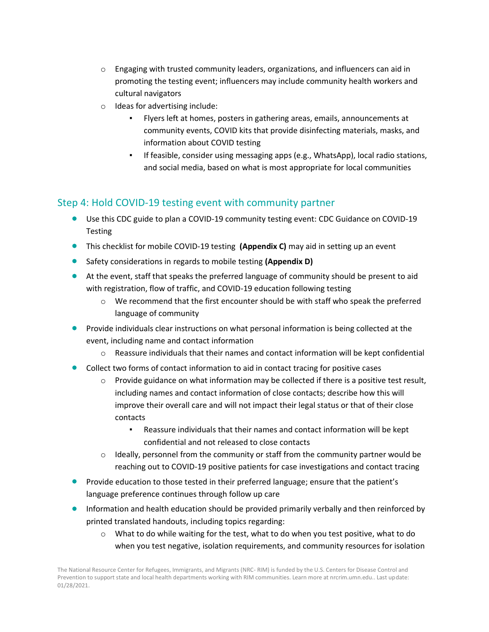- $\circ$  Engaging with trusted community leaders, organizations, and influencers can aid in promoting the testing event; influencers may include community health workers and cultural navigators
- o Ideas for advertising include:
	- Flyers left at homes, posters in gathering areas, emails, announcements at community events, COVID kits that provide disinfecting materials, masks, and information about COVID testing
	- If feasible, consider using messaging apps (e.g., WhatsApp), local radio stations, and social media, based on what is most appropriate for local communities

## Step 4: Hold COVID-19 testing event with community partner

- Use this CDC guide to plan a COVID-19 community testing event: CDC Guidance on COVID-19 [Testing](https://www.cdc.gov/coronavirus/2019-ncov/hcp/broad-based-testing.html)
- This checklist for mobile COVID-19 testing **(Appendix C)** may aid in setting up an event
- Safety considerations in regards to mobile testing **(Appendix D)**
- At the event, staff that speaks the preferred language of community should be present to aid with registration, flow of traffic, and COVID-19 education following testing
	- $\circ$  We recommend that the first encounter should be with staff who speak the preferred language of community
- **•** Provide individuals clear instructions on what personal information is being collected at the event, including name and contact information
	- $\circ$  Reassure individuals that their names and contact information will be kept confidential
- Collect two forms of contact information to aid in contact tracing for positive cases
	- Provide guidance on what information may be collected if there is a positive test result, including names and contact information of close contacts; describe how this will improve their overall care and will not impact their legal status or that of their close contacts
		- Reassure individuals that their names and contact information will be kept confidential and not released to close contacts
	- $\circ$  Ideally, personnel from the community or staff from the community partner would be reaching out to COVID-19 positive patients for case investigations and contact tracing
- Provide education to those tested in their preferred language; ensure that the patient's language preference continues through follow up care
- Information and health education should be provided primarily verbally and then reinforced by [printed translated handouts,](https://nrcrim.umn.edu/health-education/translated-materials-library) including topics regarding:
	- $\circ$  What to do while waiting for the test, what to do when you test positive, what to do when you test negative, isolation requirements, and community resources for isolation

The National Resource Center for Refugees, Immigrants, and Migrants (NRC- RIM) is funded by the U.S. Centers for Disease Control and Prevention to support state and local health departments working with RIM communities. Learn more at nrcrim.umn.edu.. Last update: 01/28/2021.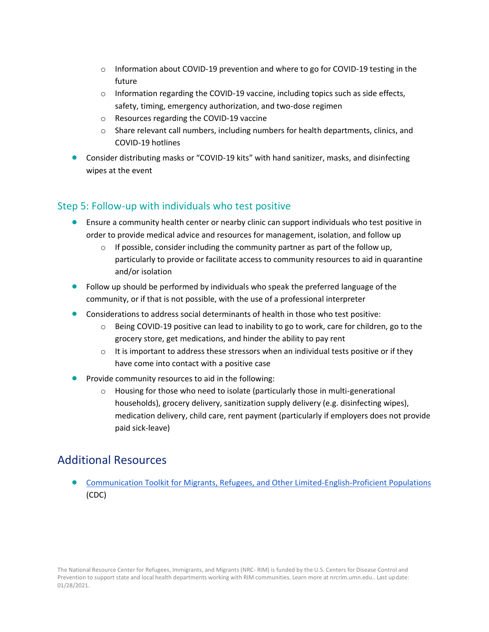- $\circ$  Information about COVID-19 prevention and where to go for COVID-19 testing in the future
- $\circ$  Information regarding the COVID-19 vaccine, including topics such as side effects, safety, timing, emergency authorization, and two-dose regimen
- o Resources regarding the [COVID-19 vaccine](https://nrcrim.umn.edu/vaccines/vaccine-central)
- $\circ$  Share relevant call numbers, including numbers for health departments, clinics, and COVID-19 hotlines
- Consider distributing masks or "COVID-19 kits" with hand sanitizer, masks, and disinfecting wipes at the event

## Step 5: Follow-up with individuals who test positive

- Ensure a community health center or nearby clinic can support individuals who test positive in order to provide medical advice and resources for management, isolation, and follow up
	- $\circ$  If possible, consider including the community partner as part of the follow up, particularly to provide or facilitate access to community resources to aid in quarantine and/or isolation
- Follow up should be performed by individuals who speak the preferred language of the community, or if that is not possible, with the use of a professional interpreter
- Considerations to address social determinants of health in those who test positive:
	- $\circ$  Being COVID-19 positive can lead to inability to go to work, care for children, go to the grocery store, get medications, and hinder the ability to pay rent
	- $\circ$  It is important to address these stressors when an individual tests positive or if they have come into contact with a positive case
- Provide community resources to aid in the following:
	- o Housing for those who need to isolate (particularly those in multi-generational households), grocery delivery, sanitization supply delivery (e.g. disinfecting wipes), medication delivery, child care, rent payment (particularly if employers does not provide paid sick-leave)

# Additional Resources

• [Communication Toolkit for Migrants, Refugees, and Other Limited-English-Proficient Populations](https://www.cdc.gov/coronavirus/2019-ncov/need-extra-precautions/communication-toolkit.html) (CDC)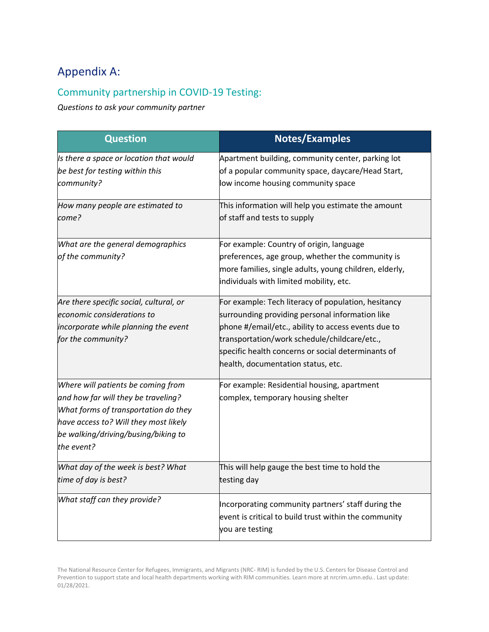# Appendix A:

## Community partnership in COVID-19 Testing:

*Questions to ask your community partner*

| <b>Question</b>                                                                                                                                                                                                 | <b>Notes/Examples</b>                                                                                                                                                                                                                                                                                     |  |
|-----------------------------------------------------------------------------------------------------------------------------------------------------------------------------------------------------------------|-----------------------------------------------------------------------------------------------------------------------------------------------------------------------------------------------------------------------------------------------------------------------------------------------------------|--|
| Is there a space or location that would<br>be best for testing within this<br>community?                                                                                                                        | Apartment building, community center, parking lot<br>of a popular community space, daycare/Head Start,<br>low income housing community space                                                                                                                                                              |  |
| How many people are estimated to<br>come?                                                                                                                                                                       | This information will help you estimate the amount<br>of staff and tests to supply                                                                                                                                                                                                                        |  |
| What are the general demographics<br>of the community?                                                                                                                                                          | For example: Country of origin, language<br>preferences, age group, whether the community is<br>more families, single adults, young children, elderly,<br>individuals with limited mobility, etc.                                                                                                         |  |
| Are there specific social, cultural, or<br>economic considerations to<br>incorporate while planning the event<br>for the community?                                                                             | For example: Tech literacy of population, hesitancy<br>surrounding providing personal information like<br>phone #/email/etc., ability to access events due to<br>transportation/work schedule/childcare/etc.,<br>specific health concerns or social determinants of<br>health, documentation status, etc. |  |
| Where will patients be coming from<br>and how far will they be traveling?<br>What forms of transportation do they<br>have access to? Will they most likely<br>be walking/driving/busing/biking to<br>the event? | For example: Residential housing, apartment<br>complex, temporary housing shelter                                                                                                                                                                                                                         |  |
| What day of the week is best? What<br>time of day is best?                                                                                                                                                      | This will help gauge the best time to hold the<br>testing day                                                                                                                                                                                                                                             |  |
| What staff can they provide?                                                                                                                                                                                    | Incorporating community partners' staff during the<br>event is critical to build trust within the community<br>you are testing                                                                                                                                                                            |  |

The National Resource Center for Refugees, Immigrants, and Migrants (NRC- RIM) is funded by the U.S. Centers for Disease Control and Prevention to support state and local health departments working with RIM communities. Learn more at nrcrim.umn.edu.. Last update: 01/28/2021.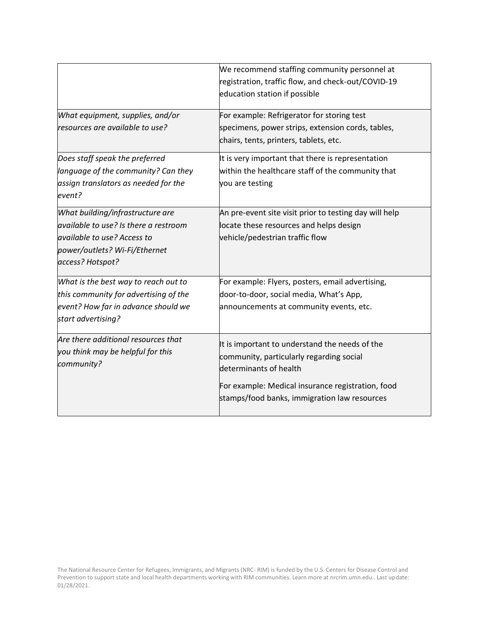| What equipment, supplies, and/or                                                                                                                              | We recommend staffing community personnel at<br>registration, traffic flow, and check-out/COVID-19<br>education station if possible<br>For example: Refrigerator for storing test                                         |
|---------------------------------------------------------------------------------------------------------------------------------------------------------------|---------------------------------------------------------------------------------------------------------------------------------------------------------------------------------------------------------------------------|
| resources are available to use?                                                                                                                               | specimens, power strips, extension cords, tables,<br>chairs, tents, printers, tablets, etc.                                                                                                                               |
| Does staff speak the preferred<br>language of the community? Can they<br>assign translators as needed for the<br>event?                                       | It is very important that there is representation<br>within the healthcare staff of the community that<br>you are testing                                                                                                 |
| What building/infrastructure are<br>available to use? Is there a restroom<br>available to use? Access to<br>power/outlets? Wi-Fi/Ethernet<br>access? Hotspot? | An pre-event site visit prior to testing day will help<br>locate these resources and helps design<br>vehicle/pedestrian traffic flow                                                                                      |
| What is the best way to reach out to<br>this community for advertising of the<br>event? How far in advance should we<br>start advertising?                    | For example: Flyers, posters, email advertising,<br>door-to-door, social media, What's App,<br>announcements at community events, etc.                                                                                    |
| Are there additional resources that<br>you think may be helpful for this<br>community?                                                                        | It is important to understand the needs of the<br>community, particularly regarding social<br>determinants of health<br>For example: Medical insurance registration, food<br>stamps/food banks, immigration law resources |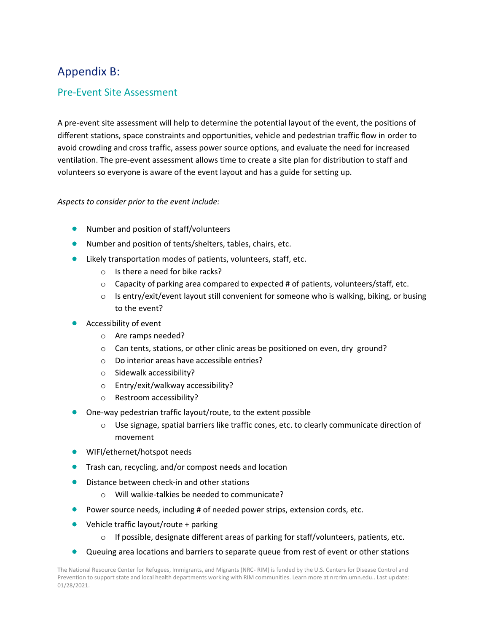# Appendix B:

### Pre-Event Site Assessment

A pre-event site assessment will help to determine the potential layout of the event, the positions of different stations, space constraints and opportunities, vehicle and pedestrian traffic flow in order to avoid crowding and cross traffic, assess power source options, and evaluate the need for increased ventilation. The pre-event assessment allows time to create a site plan for distribution to staff and volunteers so everyone is aware of the event layout and has a guide for setting up.

#### *Aspects to consider prior to the event include:*

- Number and position of staff/volunteers
- Number and position of tents/shelters, tables, chairs, etc.
- Likely transportation modes of patients, volunteers, staff, etc.
	- $\circ$  Is there a need for bike racks?
	- $\circ$  Capacity of parking area compared to expected # of patients, volunteers/staff, etc.
	- $\circ$  Is entry/exit/event layout still convenient for someone who is walking, biking, or busing to the event?
- Accessibility of event
	- o Are ramps needed?
	- $\circ$  Can tents, stations, or other clinic areas be positioned on even, dry ground?
	- o Do interior areas have accessible entries?
	- o Sidewalk accessibility?
	- o Entry/exit/walkway accessibility?
	- o Restroom accessibility?
- One-way pedestrian traffic layout/route, to the extent possible
	- o Use signage, spatial barriers like traffic cones, etc. to clearly communicate direction of movement
- WIFI/ethernet/hotspot needs
- Trash can, recycling, and/or compost needs and location
- Distance between check-in and other stations
	- o Will walkie-talkies be needed to communicate?
- Power source needs, including # of needed power strips, extension cords, etc.
- Vehicle traffic layout/route + parking
	- $\circ$  If possible, designate different areas of parking for staff/volunteers, patients, etc.
- Queuing area locations and barriers to separate queue from rest of event or other stations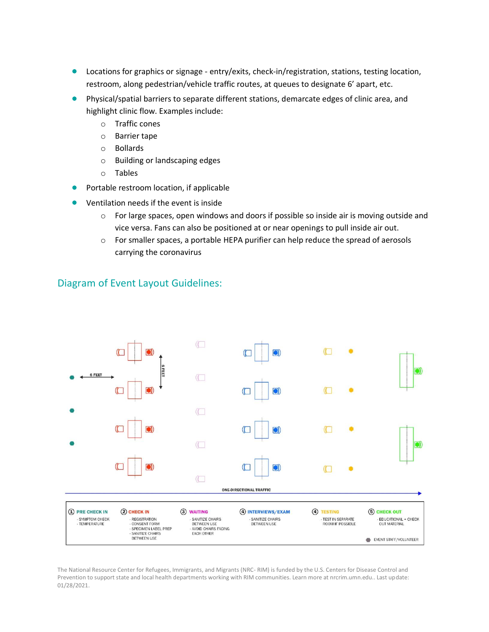- Locations for graphics or signage entry/exits, check-in/registration, stations, testing location, restroom, along pedestrian/vehicle traffic routes, at queues to designate 6' apart, etc.
- Physical/spatial barriers to separate different stations, demarcate edges of clinic area, and highlight clinic flow. Examples include:
	- o Traffic cones
	- o Barrier tape
	- o Bollards
	- o Building or landscaping edges
	- o Tables
- Portable restroom location, if applicable
- Ventilation needs if the event is inside
	- $\circ$  For large spaces, open windows and doors if possible so inside air is moving outside and vice versa. Fans can also be positioned at or near openings to pull inside air out.
	- o For smaller spaces, a portable HEPA purifier can help reduce the spread of aerosols carrying the coronavirus



## Diagram of Event Layout Guidelines: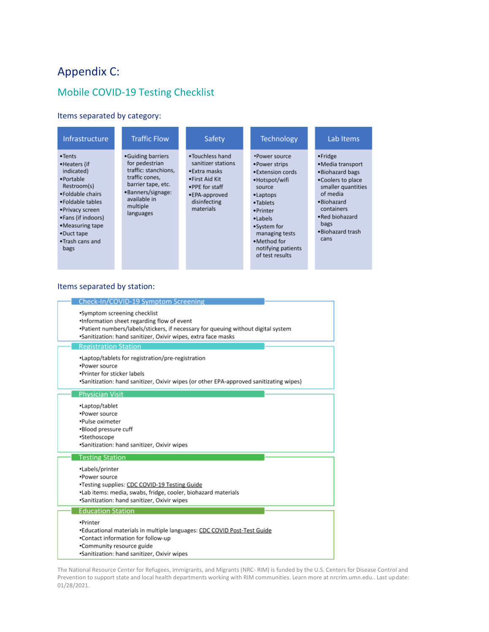# Appendix C:

# Mobile COVID-19 Testing Checklist

#### Items separated by category:

| Infrastructure                                                                                                                                                                                                          | <b>Traffic Flow</b>                                                                                                                                               | Safety                                                                                                                                    | Technology                                                                                                                                                                                                               | Lab Items                                                                                                                                                                                    |
|-------------------------------------------------------------------------------------------------------------------------------------------------------------------------------------------------------------------------|-------------------------------------------------------------------------------------------------------------------------------------------------------------------|-------------------------------------------------------------------------------------------------------------------------------------------|--------------------------------------------------------------------------------------------------------------------------------------------------------------------------------------------------------------------------|----------------------------------------------------------------------------------------------------------------------------------------------------------------------------------------------|
| • <b>Tents</b><br>•Heaters (if<br>indicated)<br>·Portable<br>Restroom(s)<br>. Foldable chairs<br>• Foldable tables<br>•Privacy screen<br>•Fans (if indoors)<br>•Measuring tape<br>•Duct tape<br>•Trash cans and<br>bags | •Guiding barriers<br>for pedestrian<br>traffic: stanchions,<br>traffic cones,<br>barrier tape, etc.<br>•Banners/signage:<br>available in<br>multiple<br>languages | . Touchless hand<br>sanitizer stations<br>•Extra masks<br>•First Aid Kit<br>. PPE for staff<br>•EPA-approved<br>disinfecting<br>materials | •Power source<br>• Power strips<br>• Extension cords<br>•Hotspot/wifi<br>source<br>•Laptops<br>•Tablets<br>• Printer<br>•Labels<br>•System for<br>managing tests<br>.Method for<br>notifying patients<br>of test results | ·Fridge<br>• Media transport<br>. Biohazard bags<br>. Coolers to place<br>smaller quantities<br>of media<br>.Biohazard<br>containers<br>. Red biohazard<br>bags<br>. Biohazard trash<br>cans |

#### Items separated by station:

| Check-In/COVID-19 Symptom Screening                                                                                                                |
|----------------------------------------------------------------------------------------------------------------------------------------------------|
|                                                                                                                                                    |
| *Symptom screening checklist                                                                                                                       |
| .Information sheet regarding flow of event                                                                                                         |
| •Patient numbers/labels/stickers, if necessary for queuing without digital system<br>*Sanitization: hand sanitizer, Oxivir wipes, extra face masks |
|                                                                                                                                                    |
| <b>Registration Station</b>                                                                                                                        |
| •Laptop/tablets for registration/pre-registration                                                                                                  |
| .Power source                                                                                                                                      |
| .Printer for sticker labels                                                                                                                        |
| •Sanitization: hand sanitizer, Oxivir wipes (or other EPA-approved sanitizating wipes)                                                             |
| <b>Physician Visit</b>                                                                                                                             |
| •Laptop/tablet                                                                                                                                     |
| *Power source                                                                                                                                      |
| •Pulse oximeter                                                                                                                                    |
| •Blood pressure cuff                                                                                                                               |
| •Stethoscope                                                                                                                                       |
| *Sanitization: hand sanitizer, Oxivir wipes                                                                                                        |
|                                                                                                                                                    |
| <b>Testing Station</b>                                                                                                                             |
| •Labels/printer                                                                                                                                    |
| *Power source                                                                                                                                      |
| •Testing supplies: CDC COVID-19 Testing Guide                                                                                                      |
| •Lab items: media, swabs, fridge, cooler, biohazard materials                                                                                      |
| .Sanitization: hand sanitizer, Oxivir wipes                                                                                                        |
| <b>Education Station</b>                                                                                                                           |
| •Printer                                                                                                                                           |
| *Educational materials in multiple languages: CDC COVID Post-Test Guide                                                                            |
| .Contact information for follow-up                                                                                                                 |
| •Community resource guide                                                                                                                          |
|                                                                                                                                                    |
| .Sanitization: hand sanitizer, Oxivir wipes                                                                                                        |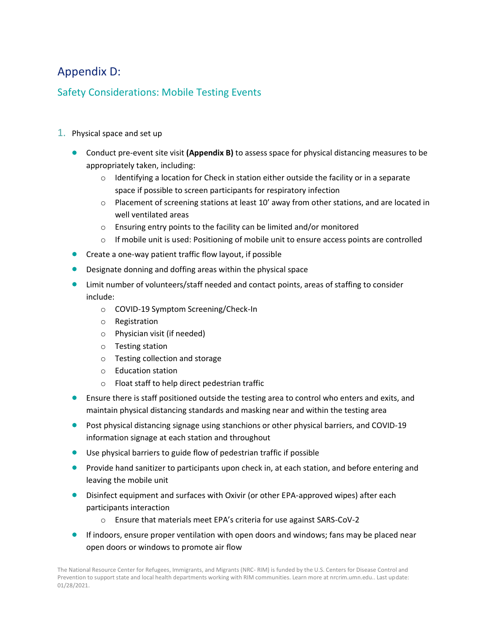# Appendix D:

## Safety Considerations: Mobile Testing Events

- 1. Physical space and set up
	- Conduct pre-event site visit **(Appendix B)** to assess space for physical distancing measures to be appropriately taken, including:
		- $\circ$  Identifying a location for Check in station either outside the facility or in a separate space if possible to screen participants for respiratory infection
		- $\circ$  Placement of screening stations at least 10' away from other stations, and are located in well ventilated areas
		- o Ensuring entry points to the facility can be limited and/or monitored
		- $\circ$  If mobile unit is used: Positioning of mobile unit to ensure access points are controlled
	- Create a one-way patient traffic flow layout, if possible
	- Designate donning and doffing areas within the physical space
	- Limit number of volunteers/staff needed and contact points, areas of staffing to consider include:
		- o COVID-19 Symptom Screening/Check-In
		- o Registration
		- o Physician visit (if needed)
		- o Testing station
		- o Testing collection and storage
		- o Education station
		- o Float staff to help direct pedestrian traffic
	- Ensure there is staff positioned outside the testing area to control who enters and exits, and maintain physical distancing standards and masking near and within the testing area
	- Post physical distancing signage using stanchions or other physical barriers, and COVID-19 information signage at each station and throughout
	- Use physical barriers to guide flow of pedestrian traffic if possible
	- **•** Provide hand sanitizer to participants upon check in, at each station, and before entering and leaving the mobile unit
	- Disinfect equipment and surfaces with Oxivir (or other EPA-approved wipes) after each participants interaction
		- o Ensure that materials meet EPA's criteria for use against SARS-CoV-2
	- If indoors, ensure proper ventilation with open doors and windows; fans may be placed near open doors or windows to promote air flow